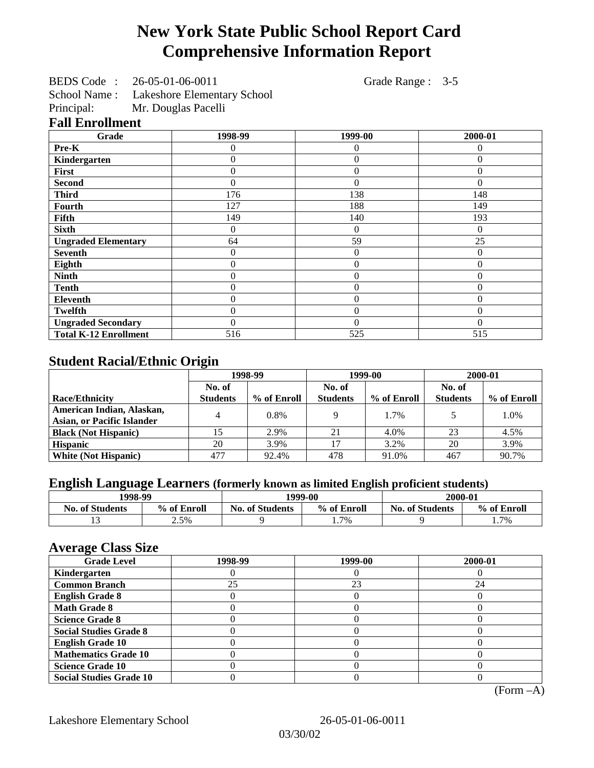# **New York State Public School Report Card Comprehensive Information Report**

BEDS Code : 26-05-01-06-0011 Grade Range : 3-5

School Name : Lakeshore Elementary School<br>Principal: Mr. Douglas Pacelli

Mr. Douglas Pacelli

## **Fall Enrollment**

| Grade                        | 1998-99        | 1999-00        | 2000-01  |
|------------------------------|----------------|----------------|----------|
| Pre-K                        | 0              | 0              | 0        |
| Kindergarten                 | 0              | $\overline{0}$ | $\Omega$ |
| First                        | 0              | $\theta$       | $\Omega$ |
| <b>Second</b>                | 0              | $\Omega$       | $\Omega$ |
| <b>Third</b>                 | 176            | 138            | 148      |
| Fourth                       | 127            | 188            | 149      |
| <b>Fifth</b>                 | 149            | 140            | 193      |
| <b>Sixth</b>                 | 0              | $\Omega$       | $\Omega$ |
| <b>Ungraded Elementary</b>   | 64             | 59             | 25       |
| <b>Seventh</b>               | 0              | $\theta$       | $\theta$ |
| Eighth                       | $\overline{0}$ | $\theta$       | $\theta$ |
| <b>Ninth</b>                 | 0              | $\overline{0}$ | $\Omega$ |
| <b>Tenth</b>                 | 0              | $\overline{0}$ | $\Omega$ |
| <b>Eleventh</b>              | 0              | $\theta$       | $\Omega$ |
| <b>Twelfth</b>               | 0              | $\overline{0}$ | $\Omega$ |
| <b>Ungraded Secondary</b>    | 0              | $\theta$       | $\Omega$ |
| <b>Total K-12 Enrollment</b> | 516            | 525            | 515      |

# **Student Racial/Ethnic Origin**

|                                   | 1998-99         |             | 1999-00         |             | 2000-01         |             |
|-----------------------------------|-----------------|-------------|-----------------|-------------|-----------------|-------------|
|                                   | No. of          |             | No. of          |             | No. of          |             |
| <b>Race/Ethnicity</b>             | <b>Students</b> | % of Enroll | <b>Students</b> | % of Enroll | <b>Students</b> | % of Enroll |
| American Indian, Alaskan,         |                 | $0.8\%$     |                 | 1.7%        |                 | 1.0%        |
| <b>Asian, or Pacific Islander</b> |                 |             |                 |             |                 |             |
| <b>Black (Not Hispanic)</b>       |                 | 2.9%        | 21              | 4.0%        | 23              | 4.5%        |
| <b>Hispanic</b>                   | 20              | 3.9%        |                 | 3.2%        | 20              | 3.9%        |
| <b>White (Not Hispanic)</b>       | 477             | 92.4%       | 478             | 91.0%       | 467             | 90.7%       |

# **English Language Learners (formerly known as limited English proficient students)**

| 1998-99                |             | 1999-00                |             | 2000-01                |             |
|------------------------|-------------|------------------------|-------------|------------------------|-------------|
| <b>No. of Students</b> | % of Enroll | <b>No. of Students</b> | % of Enroll | <b>No. of Students</b> | % of Enroll |
|                        | 2.5%        |                        | 1.7%        |                        | 1.7%        |

#### **Average Class Size**

| ---- <del>--</del> -<br><b>Grade Level</b> | 1998-99 | 1999-00 | 2000-01 |
|--------------------------------------------|---------|---------|---------|
| Kindergarten                               |         |         |         |
| <b>Common Branch</b>                       | 25      | 23      | 24      |
| <b>English Grade 8</b>                     |         |         |         |
| <b>Math Grade 8</b>                        |         |         |         |
| <b>Science Grade 8</b>                     |         |         |         |
| <b>Social Studies Grade 8</b>              |         |         |         |
| <b>English Grade 10</b>                    |         |         |         |
| <b>Mathematics Grade 10</b>                |         |         |         |
| <b>Science Grade 10</b>                    |         |         |         |
| <b>Social Studies Grade 10</b>             |         |         |         |

(Form –A)

Lakeshore Elementary School 26-05-01-06-0011